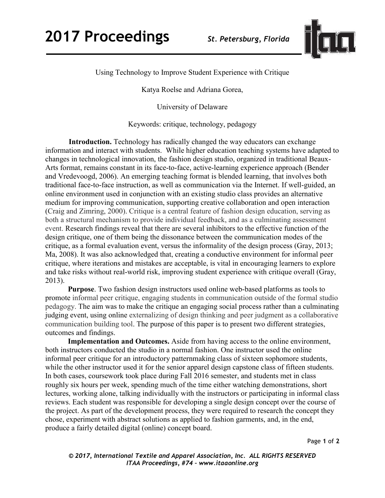

Using Technology to Improve Student Experience with Critique

Katya Roelse and Adriana Gorea,

University of Delaware

Keywords: critique, technology, pedagogy

**Introduction.** Technology has radically changed the way educators can exchange information and interact with students. While higher education teaching systems have adapted to changes in technological innovation, the fashion design studio, organized in traditional Beaux-Arts format, remains constant in its face-to-face, active-learning experience approach (Bender and Vredevoogd, 2006). An emerging teaching format is blended learning, that involves both traditional face-to-face instruction, as well as communication via the Internet. If well-guided, an online environment used in conjunction with an existing studio class provides an alternative medium for improving communication, supporting creative collaboration and open interaction (Craig and Zimring, 2000). Critique is a central feature of fashion design education, serving as both a structural mechanism to provide individual feedback, and as a culminating assessment event. Research findings reveal that there are several inhibitors to the effective function of the design critique, one of them being the dissonance between the communication modes of the critique, as a formal evaluation event, versus the informality of the design process (Gray, 2013; Ma, 2008). It was also acknowledged that, creating a conductive environment for informal peer critique, where iterations and mistakes are acceptable, is vital in encouraging learners to explore and take risks without real-world risk, improving student experience with critique overall (Gray, 2013).

**Purpose**. Two fashion design instructors used online web-based platforms as tools to promote informal peer critique, engaging students in communication outside of the formal studio pedagogy. The aim was to make the critique an engaging social process rather than a culminating judging event, using online externalizing of design thinking and peer judgment as a collaborative communication building tool. The purpose of this paper is to present two different strategies, outcomes and findings.

**Implementation and Outcomes.** Aside from having access to the online environment, both instructors conducted the studio in a normal fashion. One instructor used the online informal peer critique for an introductory patternmaking class of sixteen sophomore students, while the other instructor used it for the senior apparel design capstone class of fifteen students. In both cases, coursework took place during Fall 2016 semester, and students met in class roughly six hours per week, spending much of the time either watching demonstrations, short lectures, working alone, talking individually with the instructors or participating in informal class reviews. Each student was responsible for developing a single design concept over the course of the project. As part of the development process, they were required to research the concept they chose, experiment with abstract solutions as applied to fashion garments, and, in the end, produce a fairly detailed digital (online) concept board.

Page **1** of **2**

*© 2017, International Textile and Apparel Association, Inc. ALL RIGHTS RESERVED ITAA Proceedings, #74 – www.itaaonline.org*